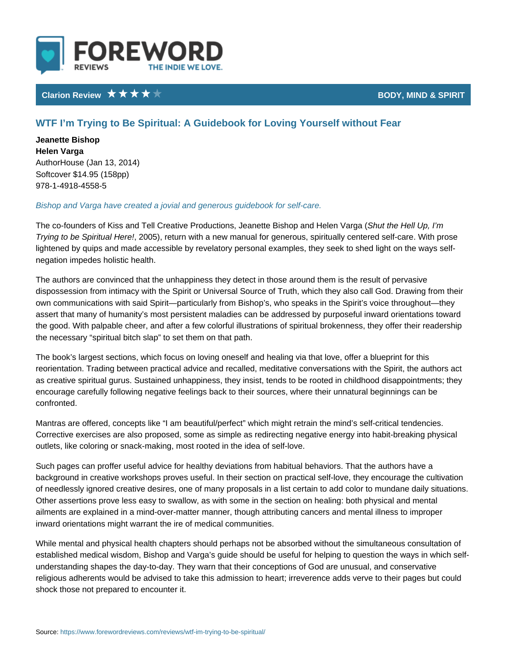## Clarion Review **BODY**, MIND &

## WTF I m Trying to Be Spiritual: A Guidebook for Loving Yourself w

Jeanette Bishop Helen Varga AuthorHouse (Jan 13, 2014) Softcover \$14.95 (158pp) 978-1-4918-4558-5

Bishop and Varga have created a jovial and generous guidebook for self-care.

The co-founders of Kiss and Tell Creative Productions, Jehauntethe Bhieshhouppanid mHe Trying to be Spirit 2005) erree! turn with a new manual for generous, spiritually cen lightened by quips and made accessible by revelatory personal examples, they negation impedes holistic health.

The authors are convinced that the unhappiness they detect in those around the dispossession from intimacy with the Spirit or Universal Source of Truth, which own communications with said Spirit particularly from Bishop s, who speaks in t assert that many of humanity s most persistent maladies can be addressed by p the good. With palpable cheer, and after a few colorful illustrations of spiritual the necessary spiritual bitch slap to set them on that path.

The book s largest sections, which focus on loving oneself and healing via that reorientation. Trading between practical advice and recalled, meditative conver as creative spiritual gurus. Sustained unhappiness, they insist, tends to be roo encourage carefully following negative feelings back to their sources, where th confronted.

Mantras are offered, concepts like I am beautiful/perfect which might retrain t Corrective exercises are also proposed, some as simple as redirecting negative outlets, like coloring or snack-making, most rooted in the idea of self-love.

Such pages can proffer useful advice for healthy deviations from habitual behav background in creative workshops proves useful. In their section on practical s of needlessly ignored creative desires, one of many proposals in a list certain Other assertions prove less easy to swallow, as with some in the section on heal ailments are explained in a mind-over-matter manner, though attributing cancer inward orientations might warrant the ire of medical communities.

While mental and physical health chapters should perhaps not be absorbed with established medical wisdom, Bishop and Varga s guide should be useful for hel understanding shapes the day-to-day. They warn that their conceptions of God a religious adherents would be advised to take this admission to heart; irreveren shock those not prepared to encounter it.